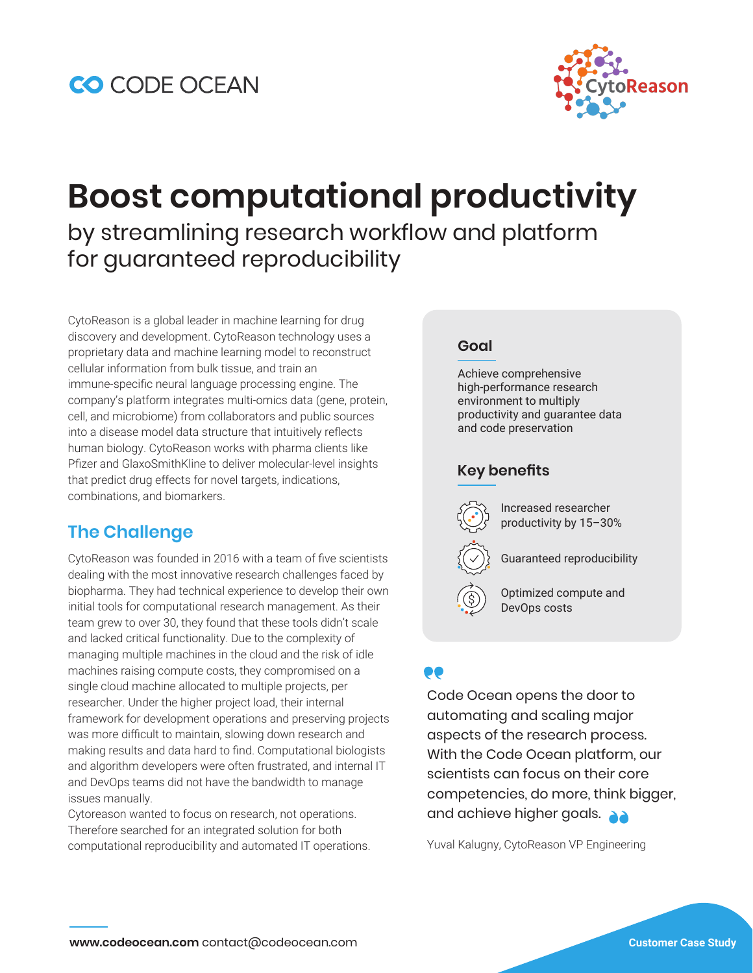

# **Boost computational productivity**  by streamlining research workflow and platform for guaranteed reproducibility

CytoReason is a global leader in machine learning for drug discovery and development. CytoReason technology uses a proprietary data and machine learning model to reconstruct cellular information from bulk tissue, and train an immune-specific neural language processing engine. The company's platform integrates multi-omics data (gene, protein, cell, and microbiome) from collaborators and public sources into a disease model data structure that intuitively reflects human biology. CytoReason works with pharma clients like Pfizer and GlaxoSmithKline to deliver molecular-level insights that predict drug effects for novel targets, indications, combinations, and biomarkers.

## **The Challenge**

CytoReason was founded in 2016 with a team of five scientists dealing with the most innovative research challenges faced by biopharma. They had technical experience to develop their own initial tools for computational research management. As their team grew to over 30, they found that these tools didn't scale and lacked critical functionality. Due to the complexity of managing multiple machines in the cloud and the risk of idle machines raising compute costs, they compromised on a single cloud machine allocated to multiple projects, per researcher. Under the higher project load, their internal framework for development operations and preserving projects was more difficult to maintain, slowing down research and making results and data hard to find. Computational biologists and algorithm developers were often frustrated, and internal IT and DevOps teams did not have the bandwidth to manage issues manually.

Cytoreason wanted to focus on research, not operations. Therefore searched for an integrated solution for both computational reproducibility and automated IT operations.

#### **Goal**

Achieve comprehensive high-performance research environment to multiply productivity and guarantee data and code preservation

#### **Key benefits**

Increased researcher productivity by 15–30%

Guaranteed reproducibility

Optimized compute and DevOps costs

## DO

Code Ocean opens the door to automating and scaling major aspects of the research process. With the Code Ocean platform, our scientists can focus on their core competencies, do more, think bigger, and achieve higher goals.

Yuval Kalugny, CytoReason VP Engineering